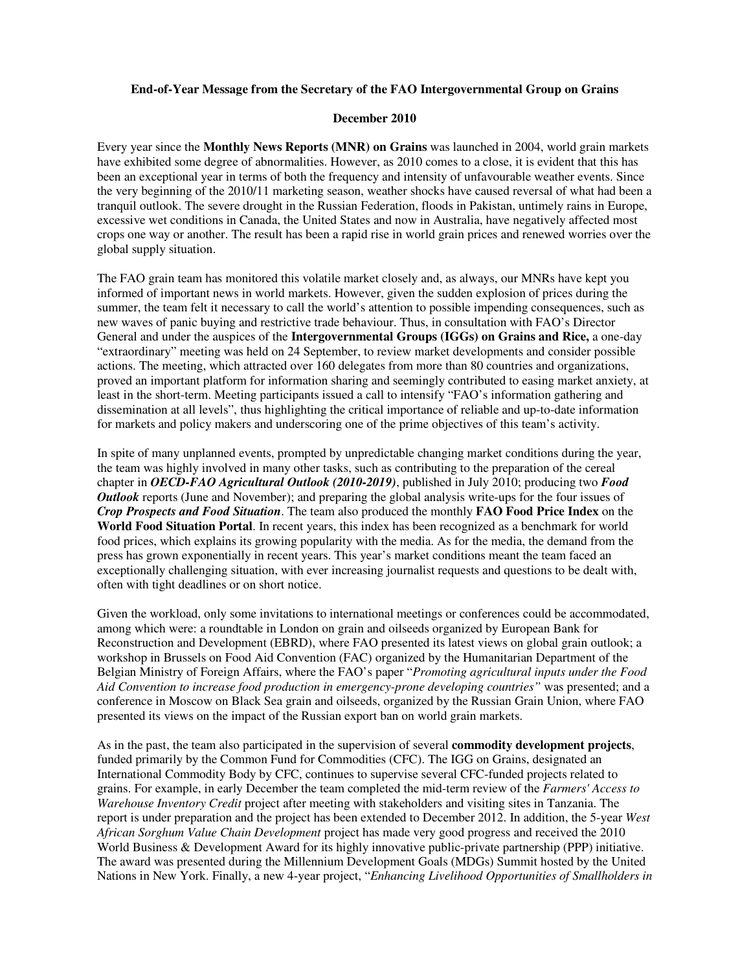## **End-of-Year Message from the Secretary of the FAO Intergovernmental Group on Grains**

## **December 2010**

Every year since the **Monthly News Reports (MNR) on Grains** was launched in 2004, world grain markets have exhibited some degree of abnormalities. However, as 2010 comes to a close, it is evident that this has been an exceptional year in terms of both the frequency and intensity of unfavourable weather events. Since the very beginning of the 2010/11 marketing season, weather shocks have caused reversal of what had been a tranquil outlook. The severe drought in the Russian Federation, floods in Pakistan, untimely rains in Europe, excessive wet conditions in Canada, the United States and now in Australia, have negatively affected most crops one way or another. The result has been a rapid rise in world grain prices and renewed worries over the global supply situation.

The FAO grain team has monitored this volatile market closely and, as always, our MNRs have kept you informed of important news in world markets. However, given the sudden explosion of prices during the summer, the team felt it necessary to call the world's attention to possible impending consequences, such as new waves of panic buying and restrictive trade behaviour. Thus, in consultation with FAO's Director General and under the auspices of the **Intergovernmental Groups (IGGs) on Grains and Rice,** a one-day "extraordinary" meeting was held on 24 September, to review market developments and consider possible actions. The meeting, which attracted over 160 delegates from more than 80 countries and organizations, proved an important platform for information sharing and seemingly contributed to easing market anxiety, at least in the short-term. Meeting participants issued a call to intensify "FAO's information gathering and dissemination at all levels", thus highlighting the critical importance of reliable and up-to-date information for markets and policy makers and underscoring one of the prime objectives of this team's activity.

In spite of many unplanned events, prompted by unpredictable changing market conditions during the year, the team was highly involved in many other tasks, such as contributing to the preparation of the cereal chapter in *OECD-FAO Agricultural Outlook (2010-2019)*, published in July 2010; producing two *Food Outlook* reports (June and November); and preparing the global analysis write-ups for the four issues of *Crop Prospects and Food Situation*. The team also produced the monthly **FAO Food Price Index** on the **World Food Situation Portal**. In recent years, this index has been recognized as a benchmark for world food prices, which explains its growing popularity with the media. As for the media, the demand from the press has grown exponentially in recent years. This year's market conditions meant the team faced an exceptionally challenging situation, with ever increasing journalist requests and questions to be dealt with, often with tight deadlines or on short notice.

Given the workload, only some invitations to international meetings or conferences could be accommodated, among which were: a roundtable in London on grain and oilseeds organized by European Bank for Reconstruction and Development (EBRD), where FAO presented its latest views on global grain outlook; a workshop in Brussels on Food Aid Convention (FAC) organized by the Humanitarian Department of the Belgian Ministry of Foreign Affairs, where the FAO's paper "*Promoting agricultural inputs under the Food Aid Convention to increase food production in emergency-prone developing countries"* was presented; and a conference in Moscow on Black Sea grain and oilseeds, organized by the Russian Grain Union, where FAO presented its views on the impact of the Russian export ban on world grain markets.

As in the past, the team also participated in the supervision of several **commodity development projects**, funded primarily by the Common Fund for Commodities (CFC). The IGG on Grains, designated an International Commodity Body by CFC, continues to supervise several CFC-funded projects related to grains. For example, in early December the team completed the mid-term review of the *Farmers' Access to Warehouse Inventory Credit* project after meeting with stakeholders and visiting sites in Tanzania. The report is under preparation and the project has been extended to December 2012. In addition, the 5-year *West African Sorghum Value Chain Development* project has made very good progress and received the 2010 World Business & Development Award for its highly innovative public-private partnership (PPP) initiative. The award was presented during the Millennium Development Goals (MDGs) Summit hosted by the United Nations in New York. Finally, a new 4-year project, "*Enhancing Livelihood Opportunities of Smallholders in*